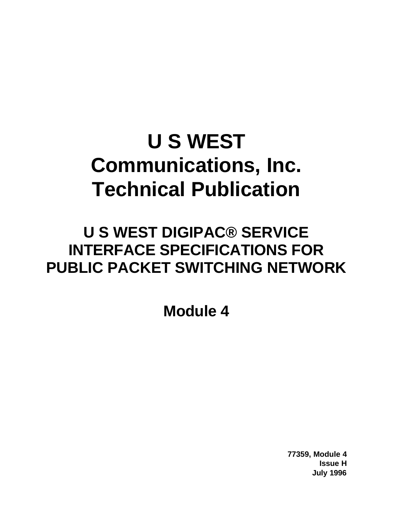# **U S WEST Communications, Inc. Technical Publication**

## **U S WEST DIGIPAC® SERVICE INTERFACE SPECIFICATIONS FOR PUBLIC PACKET SWITCHING NETWORK**

**Module 4**

**77359, Module 4 Issue H July 1996**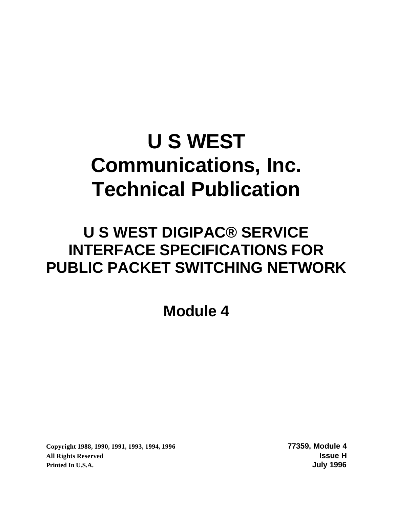# **U S WEST Communications, Inc. Technical Publication**

## **U S WEST DIGIPAC® SERVICE INTERFACE SPECIFICATIONS FOR PUBLIC PACKET SWITCHING NETWORK**

**Module 4**

**Copyright 1988, 1990, 1991, 1993, 1994, 1996 77359, Module 4 All Rights Reserved Issue H Printed In U.S.A. July 1996**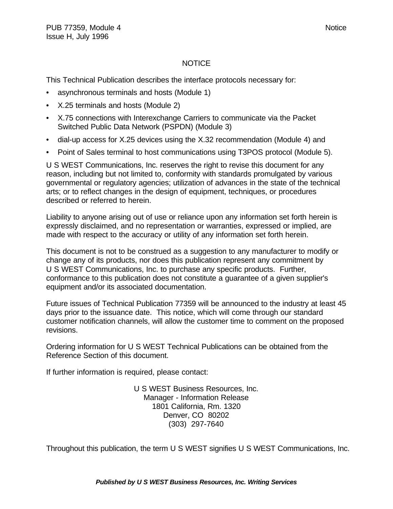#### NOTICE

This Technical Publication describes the interface protocols necessary for:

- asynchronous terminals and hosts (Module 1)
- X.25 terminals and hosts (Module 2)
- X.75 connections with Interexchange Carriers to communicate via the Packet Switched Public Data Network (PSPDN) (Module 3)
- dial-up access for X.25 devices using the X.32 recommendation (Module 4) and
- Point of Sales terminal to host communications using T3POS protocol (Module 5).

U S WEST Communications, Inc. reserves the right to revise this document for any reason, including but not limited to, conformity with standards promulgated by various governmental or regulatory agencies; utilization of advances in the state of the technical arts; or to reflect changes in the design of equipment, techniques, or procedures described or referred to herein.

Liability to anyone arising out of use or reliance upon any information set forth herein is expressly disclaimed, and no representation or warranties, expressed or implied, are made with respect to the accuracy or utility of any information set forth herein.

This document is not to be construed as a suggestion to any manufacturer to modify or change any of its products, nor does this publication represent any commitment by U S WEST Communications, Inc. to purchase any specific products. Further, conformance to this publication does not constitute a guarantee of a given supplier's equipment and/or its associated documentation.

Future issues of Technical Publication 77359 will be announced to the industry at least 45 days prior to the issuance date. This notice, which will come through our standard customer notification channels, will allow the customer time to comment on the proposed revisions.

Ordering information for U S WEST Technical Publications can be obtained from the Reference Section of this document.

If further information is required, please contact:

U S WEST Business Resources, Inc. Manager - Information Release 1801 California, Rm. 1320 Denver, CO 80202 (303) 297-7640

Throughout this publication, the term U S WEST signifies U S WEST Communications, Inc.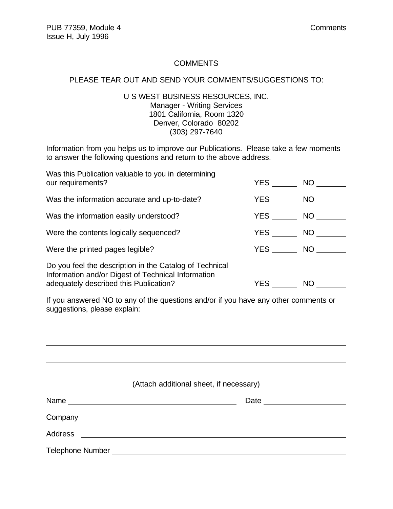$\overline{a}$ 

#### **COMMENTS**

#### PLEASE TEAR OUT AND SEND YOUR COMMENTS/SUGGESTIONS TO:

#### U S WEST BUSINESS RESOURCES, INC. Manager - Writing Services 1801 California, Room 1320 Denver, Colorado 80202 (303) 297-7640

Information from you helps us to improve our Publications. Please take a few moments to answer the following questions and return to the above address.

| Was this Publication valuable to you in determining<br>our requirements?                                                                                | YES        | NO <sub>1</sub> |
|---------------------------------------------------------------------------------------------------------------------------------------------------------|------------|-----------------|
| Was the information accurate and up-to-date?                                                                                                            | YES        | NO              |
| Was the information easily understood?                                                                                                                  | <b>YES</b> | NO              |
| Were the contents logically sequenced?                                                                                                                  | <b>YES</b> | NO              |
| Were the printed pages legible?                                                                                                                         | <b>YES</b> | <b>NO</b>       |
| Do you feel the description in the Catalog of Technical<br>Information and/or Digest of Technical Information<br>adequately described this Publication? | <b>YES</b> | <b>NO</b>       |

If you answered NO to any of the questions and/or if you have any other comments or suggestions, please explain:

|                                                                                   | (Attach additional sheet, if necessary) |
|-----------------------------------------------------------------------------------|-----------------------------------------|
|                                                                                   |                                         |
|                                                                                   |                                         |
|                                                                                   |                                         |
| Telephone Number Number Number Number Number Number Number Number Number Number 1 |                                         |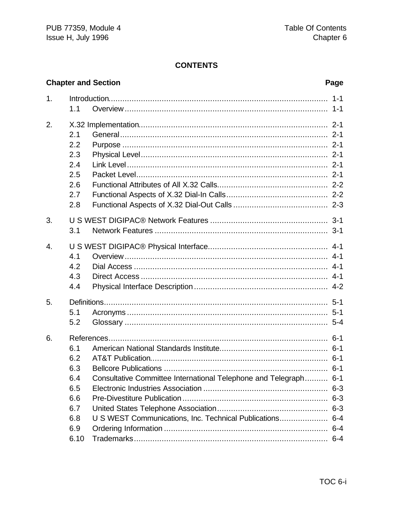#### **CONTENTS**

#### **Chapter and Section**

#### Page

| 1.               |      |                                                                  | $1 - 1$ |
|------------------|------|------------------------------------------------------------------|---------|
|                  | 1.1  |                                                                  |         |
| 2.               |      |                                                                  |         |
|                  | 2.1  |                                                                  |         |
|                  | 2.2  |                                                                  |         |
|                  | 2.3  |                                                                  |         |
|                  | 2.4  |                                                                  |         |
|                  | 2.5  |                                                                  |         |
|                  | 2.6  |                                                                  |         |
|                  | 2.7  |                                                                  |         |
|                  | 2.8  |                                                                  |         |
| 3.               |      |                                                                  |         |
|                  | 3.1  |                                                                  |         |
| $\overline{4}$ . |      |                                                                  |         |
|                  | 4.1  |                                                                  |         |
|                  | 4.2  |                                                                  |         |
|                  | 4.3  |                                                                  |         |
|                  | 4.4  |                                                                  |         |
| 5.               |      |                                                                  |         |
|                  | 5.1  |                                                                  |         |
|                  | 5.2  |                                                                  |         |
| 6.               |      |                                                                  |         |
|                  | 6.1  |                                                                  |         |
|                  | 6.2  |                                                                  |         |
|                  | 6.3  |                                                                  |         |
|                  | 6.4  | Consultative Committee International Telephone and Telegraph 6-1 |         |
|                  | 6.5  |                                                                  | $6 - 3$ |
|                  | 6.6  |                                                                  | $6 - 3$ |
|                  | 6.7  |                                                                  |         |
|                  | 6.8  | U S WEST Communications, Inc. Technical Publications             | $6 - 4$ |
|                  | 6.9  |                                                                  | $6 - 4$ |
|                  | 6.10 |                                                                  | $6 - 4$ |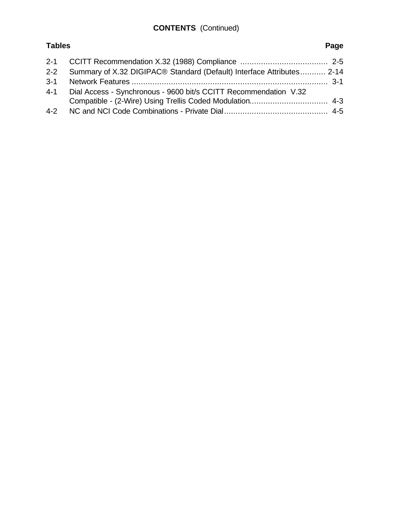## **CONTENTS** (Continued)

## **Tables Page**

|         | 2-2 Summary of X.32 DIGIPAC® Standard (Default) Interface Attributes 2-14 |
|---------|---------------------------------------------------------------------------|
| $3 - 1$ |                                                                           |
| $4 - 1$ | Dial Access - Synchronous - 9600 bit/s CCITT Recommendation V.32          |
|         |                                                                           |
|         |                                                                           |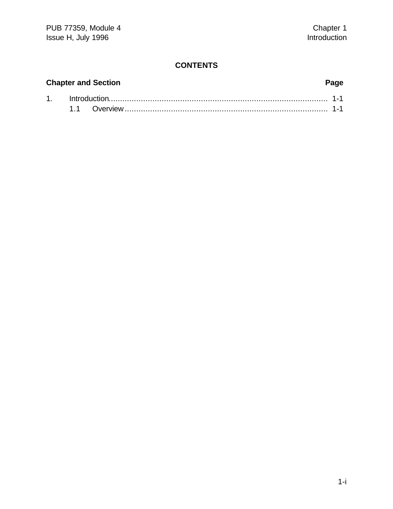#### **CONTENTS**

# **Chapter and Section Page**

#### 1. Introduction............................................................................................... 1-1 1.1 Overview........................................................................................ 1-1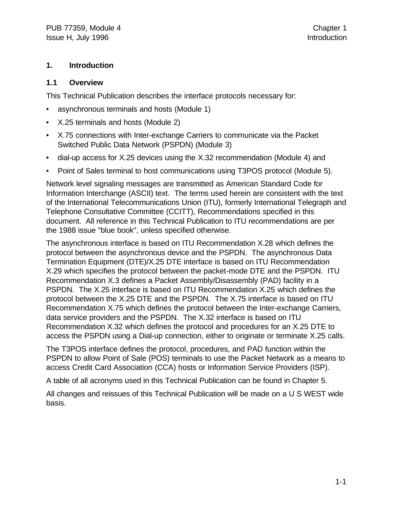#### **1. Introduction**

#### **1.1 Overview**

This Technical Publication describes the interface protocols necessary for:

- asynchronous terminals and hosts (Module 1)
- X.25 terminals and hosts (Module 2)
- X.75 connections with Inter-exchange Carriers to communicate via the Packet Switched Public Data Network (PSPDN) (Module 3)
- dial-up access for X.25 devices using the X.32 recommendation (Module 4) and
- Point of Sales terminal to host communications using T3POS protocol (Module 5).

Network level signaling messages are transmitted as American Standard Code for Information Interchange (ASCII) text. The terms used herein are consistent with the text of the International Telecommunications Union (ITU), formerly International Telegraph and Telephone Consultative Committee (CCITT), Recommendations specified in this document. All reference in this Technical Publication to ITU recommendations are per the 1988 issue "blue book", unless specified otherwise.

The asynchronous interface is based on ITU Recommendation X.28 which defines the protocol between the asynchronous device and the PSPDN. The asynchronous Data Termination Equipment (DTE)/X.25 DTE interface is based on ITU Recommendation X.29 which specifies the protocol between the packet-mode DTE and the PSPDN. ITU Recommendation X.3 defines a Packet Assembly/Disassembly (PAD) facility in a PSPDN. The X.25 interface is based on ITU Recommendation X.25 which defines the protocol between the X.25 DTE and the PSPDN. The X.75 interface is based on ITU Recommendation X.75 which defines the protocol between the Inter-exchange Carriers, data service providers and the PSPDN. The X.32 interface is based on ITU Recommendation X.32 which defines the protocol and procedures for an X.25 DTE to access the PSPDN using a Dial-up connection, either to originate or terminate X.25 calls.

The T3POS interface defines the protocol, procedures, and PAD function within the PSPDN to allow Point of Sale (POS) terminals to use the Packet Network as a means to access Credit Card Association (CCA) hosts or Information Service Providers (ISP).

A table of all acronyms used in this Technical Publication can be found in Chapter 5.

All changes and reissues of this Technical Publication will be made on a U S WEST wide basis.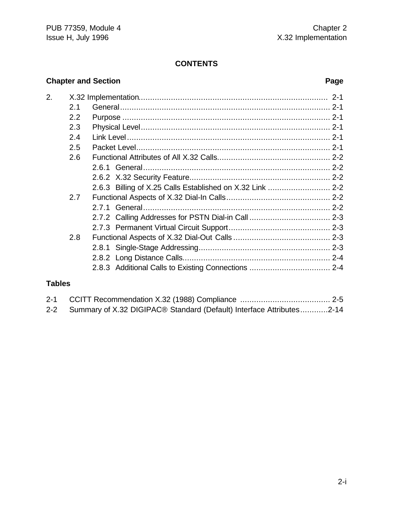#### **CONTENTS**

#### **Chapter and Section Page**

| 2. |     |                                                           |  |
|----|-----|-----------------------------------------------------------|--|
|    | 2.1 |                                                           |  |
|    | 2.2 |                                                           |  |
|    | 2.3 |                                                           |  |
|    | 2.4 |                                                           |  |
|    | 2.5 |                                                           |  |
|    | 2.6 |                                                           |  |
|    |     |                                                           |  |
|    |     |                                                           |  |
|    |     | 2.6.3 Billing of X.25 Calls Established on X.32 Link  2-2 |  |
|    | 2.7 |                                                           |  |
|    |     |                                                           |  |
|    |     |                                                           |  |
|    |     |                                                           |  |
|    | 2.8 |                                                           |  |
|    |     |                                                           |  |
|    |     |                                                           |  |
|    |     | 2.8.3 Additional Calls to Existing Connections  2-4       |  |
|    |     |                                                           |  |

#### **Tables**

| 2-2 Summary of X.32 DIGIPAC <sup>®</sup> Standard (Default) Interface Attributes2-14 |  |
|--------------------------------------------------------------------------------------|--|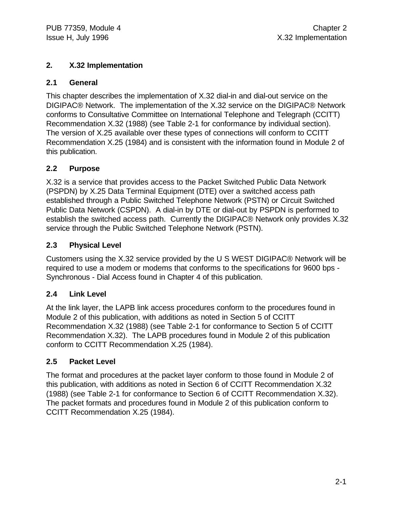#### **2. X.32 Implementation**

#### **2.1 General**

This chapter describes the implementation of X.32 dial-in and dial-out service on the DIGIPAC® Network. The implementation of the X.32 service on the DIGIPAC® Network conforms to Consultative Committee on International Telephone and Telegraph (CCITT) Recommendation X.32 (1988) (see Table 2-1 for conformance by individual section). The version of X.25 available over these types of connections will conform to CCITT Recommendation X.25 (1984) and is consistent with the information found in Module 2 of this publication.

#### **2.2 Purpose**

X.32 is a service that provides access to the Packet Switched Public Data Network (PSPDN) by X.25 Data Terminal Equipment (DTE) over a switched access path established through a Public Switched Telephone Network (PSTN) or Circuit Switched Public Data Network (CSPDN). A dial-in by DTE or dial-out by PSPDN is performed to establish the switched access path. Currently the DIGIPAC® Network only provides X.32 service through the Public Switched Telephone Network (PSTN).

#### **2.3 Physical Level**

Customers using the X.32 service provided by the U S WEST DIGIPAC® Network will be required to use a modem or modems that conforms to the specifications for 9600 bps - Synchronous - Dial Access found in Chapter 4 of this publication.

#### **2.4 Link Level**

At the link layer, the LAPB link access procedures conform to the procedures found in Module 2 of this publication, with additions as noted in Section 5 of CCITT Recommendation X.32 (1988) (see Table 2-1 for conformance to Section 5 of CCITT Recommendation X.32). The LAPB procedures found in Module 2 of this publication conform to CCITT Recommendation X.25 (1984).

#### **2.5 Packet Level**

The format and procedures at the packet layer conform to those found in Module 2 of this publication, with additions as noted in Section 6 of CCITT Recommendation X.32 (1988) (see Table 2-1 for conformance to Section 6 of CCITT Recommendation X.32). The packet formats and procedures found in Module 2 of this publication conform to CCITT Recommendation X.25 (1984).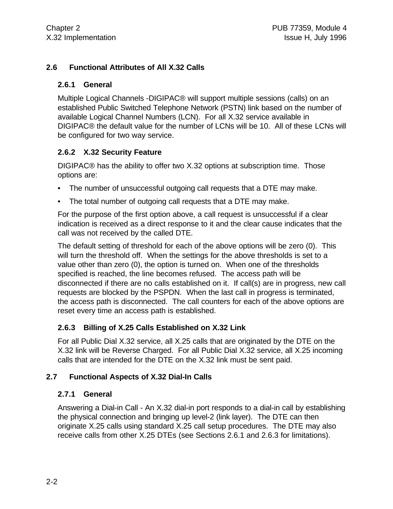#### **2.6 Functional Attributes of All X.32 Calls**

#### **2.6.1 General**

Multiple Logical Channels -DIGIPAC® will support multiple sessions (calls) on an established Public Switched Telephone Network (PSTN) link based on the number of available Logical Channel Numbers (LCN). For all X.32 service available in DIGIPAC® the default value for the number of LCNs will be 10. All of these LCNs will be configured for two way service.

#### **2.6.2 X.32 Security Feature**

DIGIPAC® has the ability to offer two X.32 options at subscription time. Those options are:

- The number of unsuccessful outgoing call requests that a DTE may make.
- The total number of outgoing call requests that a DTE may make.

For the purpose of the first option above, a call request is unsuccessful if a clear indication is received as a direct response to it and the clear cause indicates that the call was not received by the called DTE.

The default setting of threshold for each of the above options will be zero (0). This will turn the threshold off. When the settings for the above thresholds is set to a value other than zero (0), the option is turned on. When one of the thresholds specified is reached, the line becomes refused. The access path will be disconnected if there are no calls established on it. If call(s) are in progress, new call requests are blocked by the PSPDN. When the last call in progress is terminated, the access path is disconnected. The call counters for each of the above options are reset every time an access path is established.

#### **2.6.3 Billing of X.25 Calls Established on X.32 Link**

For all Public Dial X.32 service, all X.25 calls that are originated by the DTE on the X.32 link will be Reverse Charged. For all Public Dial X.32 service, all X.25 incoming calls that are intended for the DTE on the X.32 link must be sent paid.

#### **2.7 Functional Aspects of X.32 Dial-In Calls**

#### **2.7.1 General**

Answering a Dial-in Call - An X.32 dial-in port responds to a dial-in call by establishing the physical connection and bringing up level-2 (link layer). The DTE can then originate X.25 calls using standard X.25 call setup procedures. The DTE may also receive calls from other X.25 DTEs (see Sections 2.6.1 and 2.6.3 for limitations).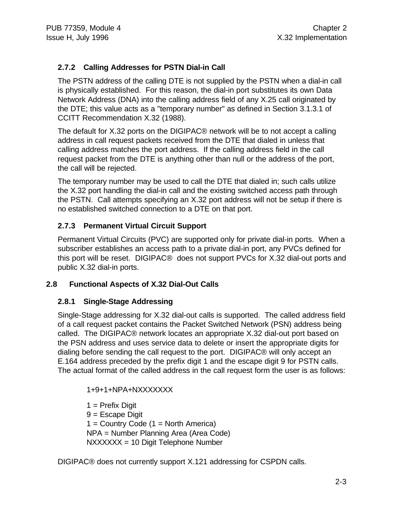#### **2.7.2 Calling Addresses for PSTN Dial-in Call**

The PSTN address of the calling DTE is not supplied by the PSTN when a dial-in call is physically established. For this reason, the dial-in port substitutes its own Data Network Address (DNA) into the calling address field of any X.25 call originated by the DTE; this value acts as a "temporary number" as defined in Section 3.1.3.1 of CCITT Recommendation X.32 (1988).

The default for X.32 ports on the DIGIPAC® network will be to not accept a calling address in call request packets received from the DTE that dialed in unless that calling address matches the port address. If the calling address field in the call request packet from the DTE is anything other than null or the address of the port, the call will be rejected.

The temporary number may be used to call the DTE that dialed in; such calls utilize the X.32 port handling the dial-in call and the existing switched access path through the PSTN. Call attempts specifying an X.32 port address will not be setup if there is no established switched connection to a DTE on that port.

#### **2.7.3 Permanent Virtual Circuit Support**

Permanent Virtual Circuits (PVC) are supported only for private dial-in ports. When a subscriber establishes an access path to a private dial-in port, any PVCs defined for this port will be reset. DIGIPAC® does not support PVCs for X.32 dial-out ports and public X.32 dial-in ports.

#### **2.8 Functional Aspects of X.32 Dial-Out Calls**

#### **2.8.1 Single-Stage Addressing**

Single-Stage addressing for X.32 dial-out calls is supported. The called address field of a call request packet contains the Packet Switched Network (PSN) address being called. The DIGIPAC® network locates an appropriate X.32 dial-out port based on the PSN address and uses service data to delete or insert the appropriate digits for dialing before sending the call request to the port. DIGIPAC® will only accept an E.164 address preceded by the prefix digit 1 and the escape digit 9 for PSTN calls. The actual format of the called address in the call request form the user is as follows:

1+9+1+NPA+NXXXXXXX

 $1$  = Prefix Digit 9 = Escape Digit  $1 =$  Country Code  $(1 =$  North America) NPA = Number Planning Area (Area Code) NXXXXXX = 10 Digit Telephone Number

DIGIPAC® does not currently support X.121 addressing for CSPDN calls.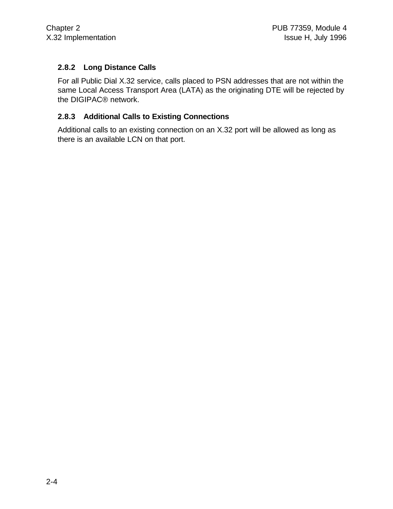#### **2.8.2 Long Distance Calls**

For all Public Dial X.32 service, calls placed to PSN addresses that are not within the same Local Access Transport Area (LATA) as the originating DTE will be rejected by the DIGIPAC® network.

#### **2.8.3 Additional Calls to Existing Connections**

Additional calls to an existing connection on an X.32 port will be allowed as long as there is an available LCN on that port.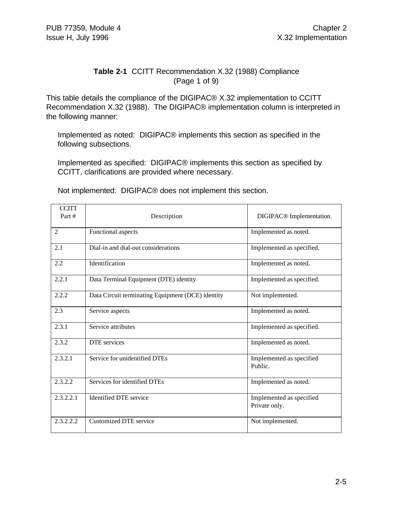#### **Table 2-1** CCITT Recommendation X.32 (1988) Compliance (Page 1 of 9)

This table details the compliance of the DIGIPAC® X.32 implementation to CCITT Recommendation X.32 (1988). The DIGIPAC® implementation column is interpreted in the following manner:

Implemented as noted: DIGIPAC® implements this section as specified in the following subsections.

Implemented as specified: DIGIPAC® implements this section as specified by CCITT, clarifications are provided where necessary.

Not implemented: DIGIPAC® does not implement this section.

| <b>CCITT</b><br>Part # | Description                                       | DIGIPAC <sup>®</sup> Implementation.      |
|------------------------|---------------------------------------------------|-------------------------------------------|
| $\overline{2}$         | Functional aspects                                | Implemented as noted.                     |
| 2.1                    | Dial-in and dial-out considerations               | Implemented as specified.                 |
| 2.2                    | Identification                                    | Implemented as noted.                     |
| 2.2.1                  | Data Terminal Equipment (DTE) identity            | Implemented as specified.                 |
| 2.2.2                  | Data Circuit terminating Equipment (DCE) identity | Not implemented.                          |
| 2.3                    | Service aspects                                   | Implemented as noted.                     |
| 2.3.1                  | Service attributes                                | Implemented as specified.                 |
| 2.3.2                  | DTE services                                      | Implemented as noted.                     |
| 2.3.2.1                | Service for unidentified DTEs                     | Implemented as specified<br>Public.       |
| 2.3.2.2                | Services for identified DTEs                      | Implemented as noted.                     |
| 2.3.2.2.1              | <b>Identified DTE</b> service                     | Implemented as specified<br>Private only. |
| 2.3.2.2.2              | <b>Customized DTE service</b>                     | Not implemented.                          |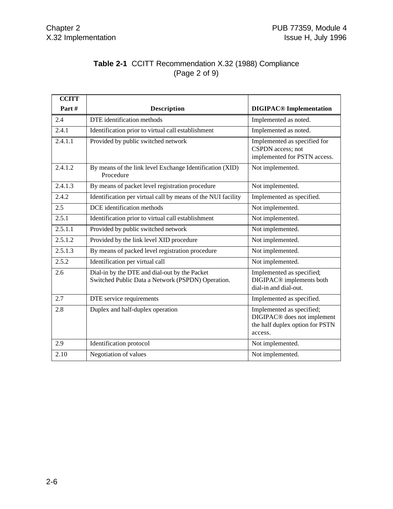#### **Table 2-1** CCITT Recommendation X.32 (1988) Compliance (Page 2 of 9)

| <b>CCITT</b> |                                                                                                    |                                                                                                                    |
|--------------|----------------------------------------------------------------------------------------------------|--------------------------------------------------------------------------------------------------------------------|
| Part#        | <b>Description</b>                                                                                 | <b>DIGIPAC<sup>®</sup></b> Implementation                                                                          |
| 2.4          | DTE identification methods                                                                         | Implemented as noted.                                                                                              |
| 2.4.1        | Identification prior to virtual call establishment                                                 | Implemented as noted.                                                                                              |
| 2.4.1.1      | Provided by public switched network                                                                | Implemented as specified for<br>CSPDN access; not<br>implemented for PSTN access.                                  |
| 2.4.1.2      | By means of the link level Exchange Identification (XID)<br>Procedure                              | Not implemented.                                                                                                   |
| 2.4.1.3      | By means of packet level registration procedure                                                    | Not implemented.                                                                                                   |
| 2.4.2        | Identification per virtual call by means of the NUI facility                                       | Implemented as specified.                                                                                          |
| 2.5          | DCE identification methods                                                                         | Not implemented.                                                                                                   |
| 2.5.1        | Identification prior to virtual call establishment                                                 | Not implemented.                                                                                                   |
| 2.5.1.1      | Provided by public switched network                                                                | Not implemented.                                                                                                   |
| 2.5.1.2      | Provided by the link level XID procedure                                                           | Not implemented.                                                                                                   |
| 2.5.1.3      | By means of packed level registration procedure                                                    | Not implemented.                                                                                                   |
| 2.5.2        | Identification per virtual call                                                                    | Not implemented.                                                                                                   |
| 2.6          | Dial-in by the DTE and dial-out by the Packet<br>Switched Public Data a Network (PSPDN) Operation. | Implemented as specified;<br>DIGIPAC <sup>®</sup> implements both<br>dial-in and dial-out.                         |
| 2.7          | DTE service requirements                                                                           | Implemented as specified.                                                                                          |
| 2.8          | Duplex and half-duplex operation                                                                   | Implemented as specified;<br>DIGIPAC <sup>®</sup> does not implement<br>the half duplex option for PSTN<br>access. |
| 2.9          | Identification protocol                                                                            | Not implemented.                                                                                                   |
| 2.10         | Negotiation of values                                                                              | Not implemented.                                                                                                   |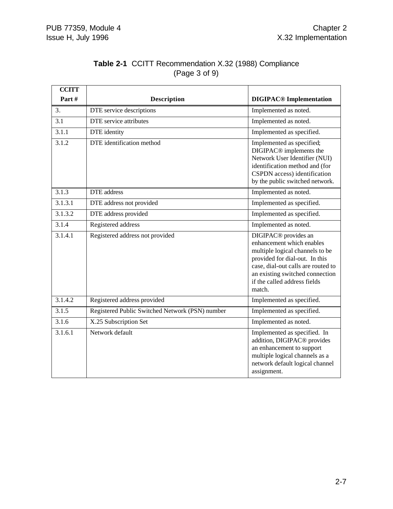| <b>CCITT</b> |                                                 |                                                                                                                                                                                                                                                       |
|--------------|-------------------------------------------------|-------------------------------------------------------------------------------------------------------------------------------------------------------------------------------------------------------------------------------------------------------|
| Part#        | <b>Description</b>                              | <b>DIGIPAC<sup>®</sup></b> Implementation                                                                                                                                                                                                             |
| 3.           | DTE service descriptions                        | Implemented as noted.                                                                                                                                                                                                                                 |
| 3.1          | <b>DTE</b> service attributes                   | Implemented as noted.                                                                                                                                                                                                                                 |
| 3.1.1        | DTE identity                                    | Implemented as specified.                                                                                                                                                                                                                             |
| 3.1.2        | DTE identification method                       | Implemented as specified;<br>DIGIPAC <sup>®</sup> implements the<br>Network User Identifier (NUI)<br>identification method and (for<br>CSPDN access) identification<br>by the public switched network.                                                |
| 3.1.3        | <b>DTE</b> address                              | Implemented as noted.                                                                                                                                                                                                                                 |
| 3.1.3.1      | DTE address not provided                        | Implemented as specified.                                                                                                                                                                                                                             |
| 3.1.3.2      | DTE address provided                            | Implemented as specified.                                                                                                                                                                                                                             |
| 3.1.4        | Registered address                              | Implemented as noted.                                                                                                                                                                                                                                 |
| 3.1.4.1      | Registered address not provided                 | DIGIPAC <sup>®</sup> provides an<br>enhancement which enables<br>multiple logical channels to be<br>provided for dial-out. In this<br>case, dial-out calls are routed to<br>an existing switched connection<br>if the called address fields<br>match. |
| 3.1.4.2      | Registered address provided                     | Implemented as specified.                                                                                                                                                                                                                             |
| 3.1.5        | Registered Public Switched Network (PSN) number | Implemented as specified.                                                                                                                                                                                                                             |
| 3.1.6        | X.25 Subscription Set                           | Implemented as noted.                                                                                                                                                                                                                                 |
| 3.1.6.1      | Network default                                 | Implemented as specified. In<br>addition, DIGIPAC <sup>®</sup> provides<br>an enhancement to support<br>multiple logical channels as a<br>network default logical channel<br>assignment.                                                              |

#### **Table 2-1** CCITT Recommendation X.32 (1988) Compliance (Page 3 of 9)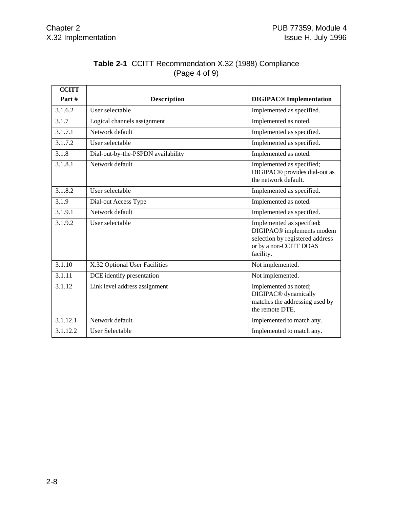| <b>CCITT</b> |                                    |                                                                                                                                              |
|--------------|------------------------------------|----------------------------------------------------------------------------------------------------------------------------------------------|
| Part #       | <b>Description</b>                 | <b>DIGIPAC<sup>®</sup></b> Implementation                                                                                                    |
| 3.1.6.2      | User selectable                    | Implemented as specified.                                                                                                                    |
| 3.1.7        | Logical channels assignment        | Implemented as noted.                                                                                                                        |
| 3.1.7.1      | Network default                    | Implemented as specified.                                                                                                                    |
| 3.1.7.2      | User selectable                    | Implemented as specified.                                                                                                                    |
| 3.1.8        | Dial-out-by-the-PSPDN availability | Implemented as noted.                                                                                                                        |
| 3.1.8.1      | Network default                    | Implemented as specified;<br>DIGIPAC <sup>®</sup> provides dial-out as<br>the network default.                                               |
| 3.1.8.2      | User selectable                    | Implemented as specified.                                                                                                                    |
| 3.1.9        | Dial-out Access Type               | Implemented as noted.                                                                                                                        |
| 3.1.9.1      | Network default                    | Implemented as specified.                                                                                                                    |
| 3.1.9.2      | User selectable                    | Implemented as specified:<br>DIGIPAC <sup>®</sup> implements modem<br>selection by registered address<br>or by a non-CCITT DOAS<br>facility. |
| 3.1.10       | X.32 Optional User Facilities      | Not implemented.                                                                                                                             |
| 3.1.11       | DCE identify presentation          | Not implemented.                                                                                                                             |
| 3.1.12       | Link level address assignment      | Implemented as noted;<br>DIGIPAC <sup>®</sup> dynamically<br>matches the addressing used by<br>the remote DTE.                               |
| 3.1.12.1     | Network default                    | Implemented to match any.                                                                                                                    |
| 3.1.12.2     | <b>User Selectable</b>             | Implemented to match any.                                                                                                                    |

#### **Table 2-1** CCITT Recommendation X.32 (1988) Compliance (Page 4 of 9)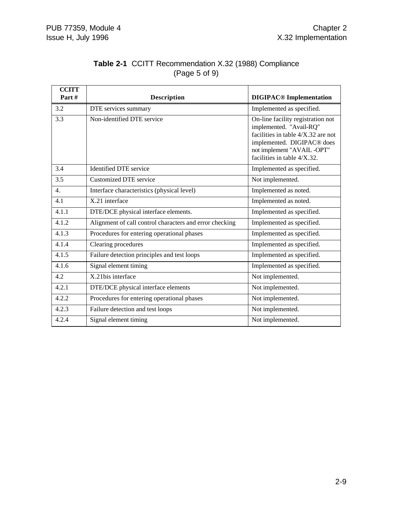| <b>CCITT</b><br>Part# | <b>Description</b>                                      | <b>DIGIPAC<sup>®</sup></b> Implementation                                                                                                                                                                      |
|-----------------------|---------------------------------------------------------|----------------------------------------------------------------------------------------------------------------------------------------------------------------------------------------------------------------|
| 3.2                   | DTE services summary                                    | Implemented as specified.                                                                                                                                                                                      |
| 3.3                   | Non-identified DTE service                              | On-line facility registration not<br>implemented. "Avail-RQ"<br>facilities in table $4/X$ .32 are not<br>implemented. DIGIPAC <sup>®</sup> does<br>not implement "AVAIL-OPT"<br>facilities in table $4/X.32$ . |
| 3.4                   | <b>Identified DTE</b> service                           | Implemented as specified.                                                                                                                                                                                      |
| 3.5                   | <b>Customized DTE service</b>                           | Not implemented.                                                                                                                                                                                               |
| 4.                    | Interface characteristics (physical level)              | Implemented as noted.                                                                                                                                                                                          |
| 4.1                   | X.21 interface                                          | Implemented as noted.                                                                                                                                                                                          |
| 4.1.1                 | DTE/DCE physical interface elements.                    | Implemented as specified.                                                                                                                                                                                      |
| 4.1.2                 | Alignment of call control characters and error checking | Implemented as specified.                                                                                                                                                                                      |
| 4.1.3                 | Procedures for entering operational phases              | Implemented as specified.                                                                                                                                                                                      |
| 4.1.4                 | Clearing procedures                                     | Implemented as specified.                                                                                                                                                                                      |
| 4.1.5                 | Failure detection principles and test loops             | Implemented as specified.                                                                                                                                                                                      |
| 4.1.6                 | Signal element timing                                   | Implemented as specified.                                                                                                                                                                                      |
| 4.2                   | X.21bis interface                                       | Not implemented.                                                                                                                                                                                               |
| 4.2.1                 | DTE/DCE physical interface elements                     | Not implemented.                                                                                                                                                                                               |
| 4.2.2                 | Procedures for entering operational phases              | Not implemented.                                                                                                                                                                                               |
| 4.2.3                 | Failure detection and test loops                        | Not implemented.                                                                                                                                                                                               |
| 4.2.4                 | Signal element timing                                   | Not implemented.                                                                                                                                                                                               |

#### **Table 2-1** CCITT Recommendation X.32 (1988) Compliance (Page 5 of 9)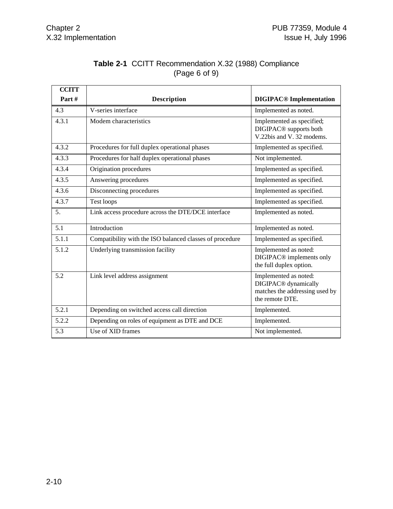| <b>Table 2-1 CCITT Recommendation X.32 (1988) Compliance</b> |
|--------------------------------------------------------------|
| (Page 6 of 9)                                                |

| <b>CCITT</b> |                                                          |                                                                                                                |
|--------------|----------------------------------------------------------|----------------------------------------------------------------------------------------------------------------|
| Part#        | <b>Description</b>                                       | <b>DIGIPAC<sup>®</sup></b> Implementation                                                                      |
| 4.3          | V-series interface                                       | Implemented as noted.                                                                                          |
| 4.3.1        | Modem characteristics                                    | Implemented as specified;<br>DIGIPAC <sup>®</sup> supports both<br>V.22bis and V. 32 modems.                   |
| 4.3.2        | Procedures for full duplex operational phases            | Implemented as specified.                                                                                      |
| 4.3.3        | Procedures for half duplex operational phases            | Not implemented.                                                                                               |
| 4.3.4        | Origination procedures                                   | Implemented as specified.                                                                                      |
| 4.3.5        | Answering procedures                                     | Implemented as specified.                                                                                      |
| 4.3.6        | Disconnecting procedures                                 | Implemented as specified.                                                                                      |
| 4.3.7        | Test loops                                               | Implemented as specified.                                                                                      |
| 5.           | Link access procedure across the DTE/DCE interface       | Implemented as noted.                                                                                          |
| 5.1          | Introduction                                             | Implemented as noted.                                                                                          |
| 5.1.1        | Compatibility with the ISO balanced classes of procedure | Implemented as specified.                                                                                      |
| 5.1.2        | Underlying transmission facility                         | Implemented as noted:<br>DIGIPAC <sup>®</sup> implements only<br>the full duplex option.                       |
| 5.2          | Link level address assignment                            | Implemented as noted:<br>DIGIPAC <sup>®</sup> dynamically<br>matches the addressing used by<br>the remote DTE. |
| 5.2.1        | Depending on switched access call direction              | Implemented.                                                                                                   |
| 5.2.2        | Depending on roles of equipment as DTE and DCE           | Implemented.                                                                                                   |
| 5.3          | Use of XID frames                                        | Not implemented.                                                                                               |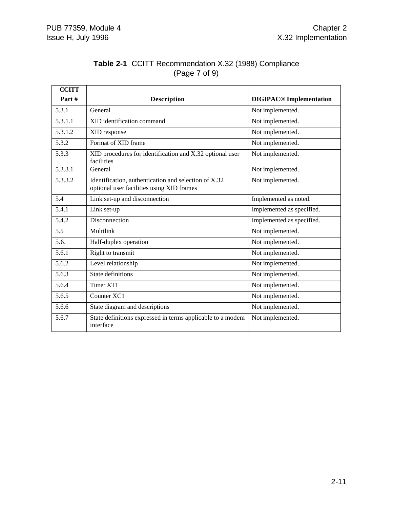| <b>CCITT</b> |                                                                                                   |                                           |
|--------------|---------------------------------------------------------------------------------------------------|-------------------------------------------|
| Part#        | <b>Description</b>                                                                                | <b>DIGIPAC<sup>®</sup></b> Implementation |
| 5.3.1        | General                                                                                           | Not implemented.                          |
| 5.3.1.1      | XID identification command                                                                        | Not implemented.                          |
| 5.3.1.2      | XID response                                                                                      | Not implemented.                          |
| 5.3.2        | Format of XID frame                                                                               | Not implemented.                          |
| 5.3.3        | XID procedures for identification and X.32 optional user<br>facilities                            | Not implemented.                          |
| 5.3.3.1      | General                                                                                           | Not implemented.                          |
| 5.3.3.2      | Identification, authentication and selection of X.32<br>optional user facilities using XID frames | Not implemented.                          |
| 5.4          | Link set-up and disconnection                                                                     | Implemented as noted.                     |
| 5.4.1        | Link set-up                                                                                       | Implemented as specified.                 |
| 5.4.2        | Disconnection                                                                                     | Implemented as specified.                 |
| 5.5          | Multilink                                                                                         | Not implemented.                          |
| 5.6.         | Half-duplex operation                                                                             | Not implemented.                          |
| 5.6.1        | Right to transmit                                                                                 | Not implemented.                          |
| 5.6.2        | Level relationship                                                                                | Not implemented.                          |
| 5.6.3        | <b>State definitions</b>                                                                          | Not implemented.                          |
| 5.6.4        | Timer XT1                                                                                         | Not implemented.                          |
| 5.6.5        | Counter XC1                                                                                       | Not implemented.                          |
| 5.6.6        | State diagram and descriptions                                                                    | Not implemented.                          |
| 5.6.7        | State definitions expressed in terms applicable to a modem<br>interface                           | Not implemented.                          |

#### **Table 2-1** CCITT Recommendation X.32 (1988) Compliance (Page 7 of 9)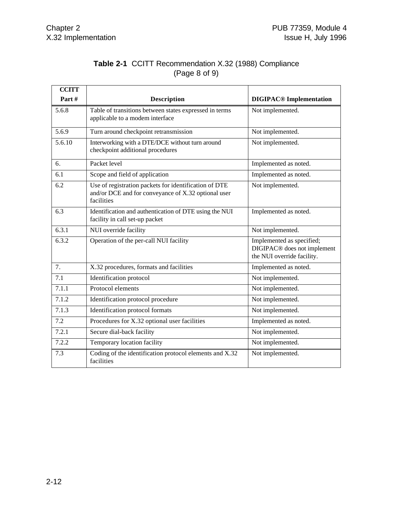#### **Table 2-1** CCITT Recommendation X.32 (1988) Compliance (Page 8 of 9)

| <b>CCITT</b> |                                                                                                                            |                                                                                                    |
|--------------|----------------------------------------------------------------------------------------------------------------------------|----------------------------------------------------------------------------------------------------|
| Part#        | <b>Description</b>                                                                                                         | <b>DIGIPAC<sup>®</sup></b> Implementation                                                          |
| 5.6.8        | Table of transitions between states expressed in terms<br>applicable to a modem interface                                  | Not implemented.                                                                                   |
| 5.6.9        | Turn around checkpoint retransmission                                                                                      | Not implemented.                                                                                   |
| 5.6.10       | Interworking with a DTE/DCE without turn around<br>checkpoint additional procedures                                        | Not implemented.                                                                                   |
| 6.           | Packet level                                                                                                               | Implemented as noted.                                                                              |
| 6.1          | Scope and field of application                                                                                             | Implemented as noted.                                                                              |
| 6.2          | Use of registration packets for identification of DTE<br>and/or DCE and for conveyance of X.32 optional user<br>facilities | Not implemented.                                                                                   |
| 6.3          | Identification and authentication of DTE using the NUI<br>facility in call set-up packet                                   | Implemented as noted.                                                                              |
| 6.3.1        | NUI override facility                                                                                                      | Not implemented.                                                                                   |
| 6.3.2        | Operation of the per-call NUI facility                                                                                     | Implemented as specified;<br>DIGIPAC <sup>®</sup> does not implement<br>the NUI override facility. |
| 7.           | X.32 procedures, formats and facilities                                                                                    | Implemented as noted.                                                                              |
| 7.1          | Identification protocol                                                                                                    | Not implemented.                                                                                   |
| 7.1.1        | Protocol elements                                                                                                          | Not implemented.                                                                                   |
| 7.1.2        | Identification protocol procedure                                                                                          | Not implemented.                                                                                   |
| 7.1.3        | Identification protocol formats                                                                                            | Not implemented.                                                                                   |
| 7.2          | Procedures for X.32 optional user facilities                                                                               | Implemented as noted.                                                                              |
| 7.2.1        | Secure dial-back facility                                                                                                  | Not implemented.                                                                                   |
| 7.2.2        | Temporary location facility                                                                                                | Not implemented.                                                                                   |
| 7.3          | Coding of the identification protocol elements and X.32<br>facilities                                                      | Not implemented.                                                                                   |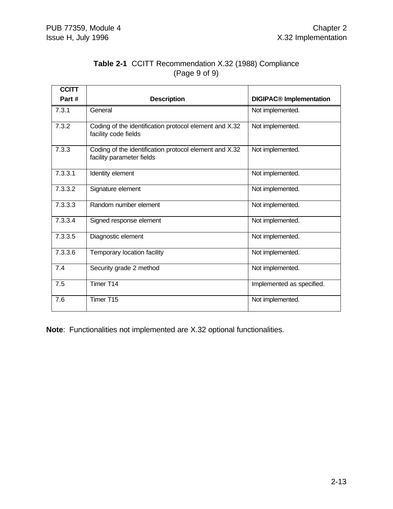| <b>Table 2-1 CCITT Recommendation X.32 (1988) Compliance</b> |  |
|--------------------------------------------------------------|--|
| (Page 9 of 9)                                                |  |

| <b>CCITT</b> |                                                                                     |                                           |
|--------------|-------------------------------------------------------------------------------------|-------------------------------------------|
| Part#        | <b>Description</b>                                                                  | <b>DIGIPAC<sup>®</sup></b> Implementation |
| 7.3.1        | General                                                                             | Not implemented.                          |
| 7.3.2        | Coding of the identification protocol element and X.32<br>facility code fields      | Not implemented.                          |
| 7.3.3        | Coding of the identification protocol element and X.32<br>facility parameter fields | Not implemented.                          |
| 7.3.3.1      | Identity element                                                                    | Not implemented.                          |
| 7.3.3.2      | Signature element                                                                   | Not implemented.                          |
| 7.3.3.3      | Random number element                                                               | Not implemented.                          |
| 7.3.3.4      | Signed response element                                                             | Not implemented.                          |
| 7.3.3.5      | Diagnostic element                                                                  | Not implemented.                          |
| 7.3.3.6      | Temporary location facility                                                         | Not implemented.                          |
| 7.4          | Security grade 2 method                                                             | Not implemented.                          |
| 7.5          | Timer T14                                                                           | Implemented as specified.                 |
| 7.6          | Timer T15                                                                           | Not implemented.                          |

**Note**: Functionalities not implemented are X.32 optional functionalities.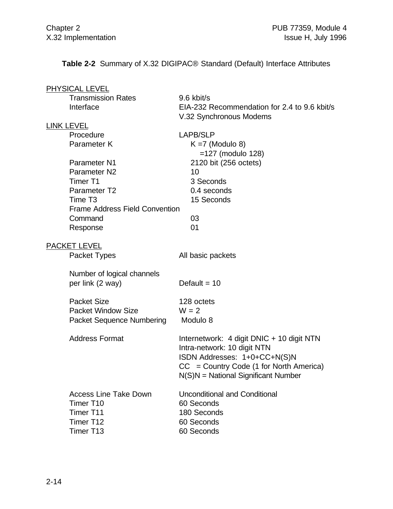**Table 2-2** Summary of X.32 DIGIPAC® Standard (Default) Interface Attributes

| <b>PHYSICAL LEVEL</b>                 |                                              |
|---------------------------------------|----------------------------------------------|
| <b>Transmission Rates</b>             | 9.6 kbit/s                                   |
| Interface                             | EIA-232 Recommendation for 2.4 to 9.6 kbit/s |
|                                       | V.32 Synchronous Modems                      |
| <b>LINK LEVEL</b>                     |                                              |
| Procedure                             | <b>LAPB/SLP</b>                              |
| Parameter K                           | $K = 7$ (Modulo 8)                           |
|                                       | $=127$ (modulo 128)                          |
| Parameter N1                          | 2120 bit (256 octets)                        |
| Parameter N <sub>2</sub>              | 10                                           |
| Timer T1                              | 3 Seconds                                    |
| Parameter T2                          | 0.4 seconds                                  |
| Time T <sub>3</sub>                   | 15 Seconds                                   |
| <b>Frame Address Field Convention</b> |                                              |
| Command                               | 03                                           |
| Response                              | 01                                           |
| <b>PACKET LEVEL</b>                   |                                              |
| Packet Types                          | All basic packets                            |
| Number of logical channels            |                                              |
| per link (2 way)                      | Default = $10$                               |
| <b>Packet Size</b>                    | 128 octets                                   |
| <b>Packet Window Size</b>             | $W = 2$                                      |
| <b>Packet Sequence Numbering</b>      | Modulo 8                                     |
|                                       |                                              |
| <b>Address Format</b>                 | Internetwork: 4 digit DNIC + 10 digit NTN    |
|                                       | Intra-network: 10 digit NTN                  |
|                                       | ISDN Addresses: 1+0+CC+N(S)N                 |
|                                       | $CC = Country Code (1 for North America)$    |
|                                       | $N(S)N = National Significant Number$        |
| <b>Access Line Take Down</b>          | <b>Unconditional and Conditional</b>         |
| Timer T <sub>10</sub>                 | 60 Seconds                                   |
| Timer T11                             | 180 Seconds                                  |
| Timer T12                             | 60 Seconds                                   |
| Timer T13                             | 60 Seconds                                   |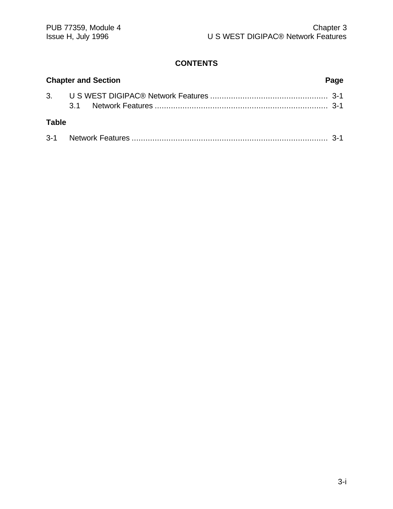#### **CONTENTS**

|              | <b>Chapter and Section</b><br>Page |  |
|--------------|------------------------------------|--|
|              |                                    |  |
| <b>Table</b> |                                    |  |
|              |                                    |  |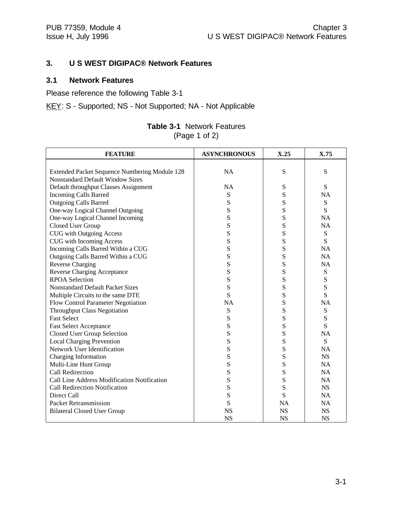#### **3. U S WEST DIGIPAC® Network Features**

#### **3.1 Network Features**

Please reference the following Table 3-1

KEY: S - Supported; NS - Not Supported; NA - Not Applicable

| <b>FEATURE</b>                                | <b>ASYNCHRONOUS</b> | X.25      | X.75      |
|-----------------------------------------------|---------------------|-----------|-----------|
|                                               |                     |           |           |
| Extended Packet Sequence Numbering Module 128 | <b>NA</b>           | S         | S         |
| <b>Nonstandard Default Window Sizes</b>       |                     |           |           |
| Default throughput Classes Assignment         | NA                  | S         | S         |
| <b>Incoming Calls Barred</b>                  | S                   | S         | <b>NA</b> |
| <b>Outgoing Calls Barred</b>                  | S                   | S         | S         |
| One-way Logical Channel Outgoing              | S                   | S         | S         |
| One-way Logical Channel Incoming              | S                   | S         | <b>NA</b> |
| Closed User Group                             | S                   | S         | <b>NA</b> |
| <b>CUG</b> with Outgoing Access               | S                   | S         | S         |
| <b>CUG</b> with Incoming Access               | S                   | S         | S         |
| Incoming Calls Barred Within a CUG            | S                   | S         | <b>NA</b> |
| Outgoing Calls Barred Within a CUG            | S                   | S         | <b>NA</b> |
| <b>Reverse Charging</b>                       | S                   | S         | <b>NA</b> |
| <b>Reverse Charging Acceptance</b>            | S                   | S         | S         |
| <b>RPOA Selection</b>                         | S                   | S         | ${\bf S}$ |
| <b>Nonstandard Default Packet Sizes</b>       | S                   | S         | S         |
| Multiple Circuits to the same DTE             | S                   | S         | S         |
| Flow Control Parameter Negotiation            | <b>NA</b>           | S         | <b>NA</b> |
| <b>Throughput Class Negotiation</b>           | S                   | S         | ${\bf S}$ |
| <b>Fast Select</b>                            | S                   | S         | ${\bf S}$ |
| <b>Fast Select Acceptance</b>                 | S                   | S         | S         |
| <b>Closed User Group Selection</b>            | S                   | S         | <b>NA</b> |
| <b>Local Charging Prevention</b>              | S                   | S         | S         |
| Network User Identification                   | S                   | S         | <b>NA</b> |
| Charging Information                          | S                   | S         | <b>NS</b> |
| Multi-Line Hunt Group                         | S                   | S         | <b>NA</b> |
| Call Redirection                              | S                   | S         | <b>NA</b> |
| Call Line Address Modification Notification   | S                   | S         | <b>NA</b> |
| <b>Call Redirection Notification</b>          | S                   | S         | <b>NS</b> |
| Direct Call                                   | S                   | S         | <b>NA</b> |
| Packet Retransmission                         | S                   | <b>NA</b> | <b>NA</b> |
| <b>Bilateral Closed User Group</b>            | <b>NS</b>           | <b>NS</b> | <b>NS</b> |
|                                               | <b>NS</b>           | <b>NS</b> | <b>NS</b> |

#### **Table 3-1** Network Features (Page 1 of 2)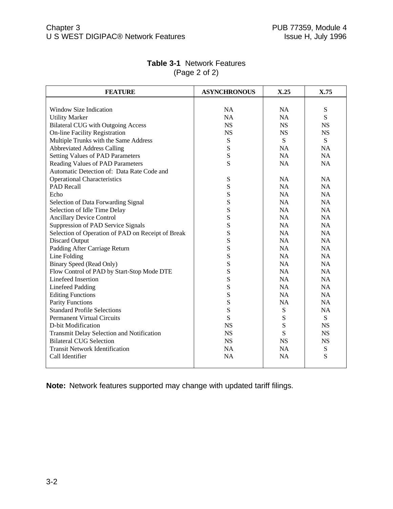| <b>FEATURE</b>                                    | <b>ASYNCHRONOUS</b> | X.25      | X.75      |
|---------------------------------------------------|---------------------|-----------|-----------|
|                                                   |                     |           |           |
| Window Size Indication                            | <b>NA</b>           | <b>NA</b> | ${\bf S}$ |
| <b>Utility Marker</b>                             | <b>NA</b>           | <b>NA</b> | S         |
| <b>Bilateral CUG</b> with Outgoing Access         | <b>NS</b>           | <b>NS</b> | <b>NS</b> |
| <b>On-line Facility Registration</b>              | <b>NS</b>           | <b>NS</b> | <b>NS</b> |
| Multiple Trunks with the Same Address             | ${\bf S}$           | S         | S         |
| <b>Abbreviated Address Calling</b>                | S                   | NA        | <b>NA</b> |
| <b>Setting Values of PAD Parameters</b>           | ${\bf S}$           | NA        | <b>NA</b> |
| Reading Values of PAD Parameters                  | S                   | <b>NA</b> | <b>NA</b> |
| Automatic Detection of: Data Rate Code and        |                     |           |           |
| <b>Operational Characteristics</b>                | ${\bf S}$           | NA        | NA        |
| <b>PAD Recall</b>                                 | S                   | <b>NA</b> | <b>NA</b> |
| Echo                                              | S                   | <b>NA</b> | <b>NA</b> |
| Selection of Data Forwarding Signal               | S                   | NA        | <b>NA</b> |
| Selection of Idle Time Delay                      | S                   | NA        | <b>NA</b> |
| <b>Ancillary Device Control</b>                   | S                   | <b>NA</b> | <b>NA</b> |
| Suppression of PAD Service Signals                | S                   | <b>NA</b> | <b>NA</b> |
| Selection of Operation of PAD on Receipt of Break | S                   | NA        | NA        |
| <b>Discard Output</b>                             | S                   | NA        | NA        |
| Padding After Carriage Return                     | S                   | <b>NA</b> | <b>NA</b> |
| Line Folding                                      | S                   | NA        | <b>NA</b> |
| <b>Binary Speed (Read Only)</b>                   | S                   | NA        | NA        |
| Flow Control of PAD by Start-Stop Mode DTE        | S                   | NA        | <b>NA</b> |
| Linefeed Insertion                                | S                   | NA        | NA        |
| <b>Linefeed Padding</b>                           | S                   | NA        | NA        |
| <b>Editing Functions</b>                          | S                   | <b>NA</b> | <b>NA</b> |
| <b>Parity Functions</b>                           | S                   | NA        | NA        |
| <b>Standard Profile Selections</b>                | S                   | ${\bf S}$ | <b>NA</b> |
| <b>Permanent Virtual Circuits</b>                 | S                   | ${\bf S}$ | ${\bf S}$ |
| D-bit Modification                                | <b>NS</b>           | S         | <b>NS</b> |
| Transmit Delay Selection and Notification         | <b>NS</b>           | S         | <b>NS</b> |
| <b>Bilateral CUG Selection</b>                    | <b>NS</b>           | <b>NS</b> | <b>NS</b> |
| <b>Transit Network Identification</b>             | <b>NA</b>           | <b>NA</b> | ${\bf S}$ |
| Call Identifier                                   | <b>NA</b>           | <b>NA</b> | S         |
|                                                   |                     |           |           |

#### **Table 3-1** Network Features (Page 2 of 2)

**Note:** Network features supported may change with updated tariff filings.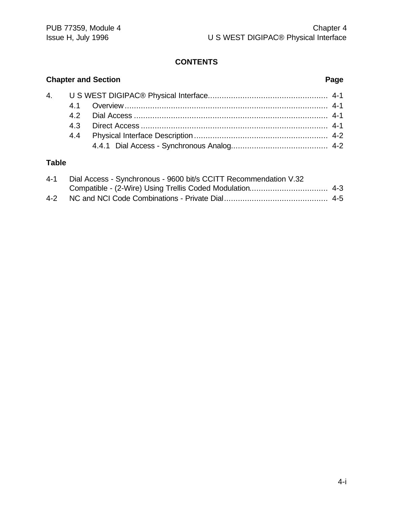#### **CONTENTS**

#### **Chapter and Section Page** 4. U S WEST DIGIPAC® Physical Interface.................................................... 4-1 4.1 Overview........................................................................................ 4-1 4.2 Dial Access .................................................................................... 4-1 4.3 Direct Access ................................................................................. 4-1 4.4 Physical Interface Description .......................................................... 4-2 4.4.1 Dial Access - Synchronous Analog.......................................... 4-2

#### **Table**

| 4-1 Dial Access - Synchronous - 9600 bit/s CCITT Recommendation V.32 |  |
|----------------------------------------------------------------------|--|
|                                                                      |  |
|                                                                      |  |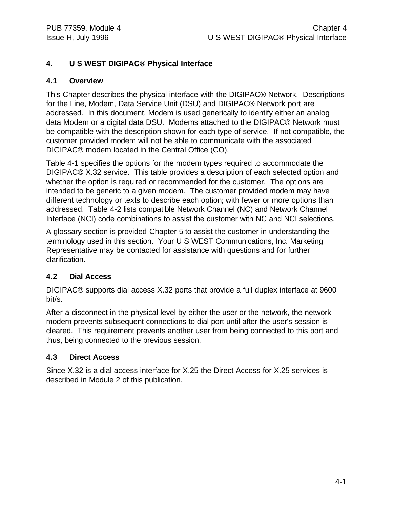#### **4. U S WEST DIGIPAC® Physical Interface**

#### **4.1 Overview**

This Chapter describes the physical interface with the DIGIPAC® Network. Descriptions for the Line, Modem, Data Service Unit (DSU) and DIGIPAC® Network port are addressed. In this document, Modem is used generically to identify either an analog data Modem or a digital data DSU. Modems attached to the DIGIPAC® Network must be compatible with the description shown for each type of service. If not compatible, the customer provided modem will not be able to communicate with the associated DIGIPAC® modem located in the Central Office (CO).

Table 4-1 specifies the options for the modem types required to accommodate the DIGIPAC® X.32 service. This table provides a description of each selected option and whether the option is required or recommended for the customer. The options are intended to be generic to a given modem. The customer provided modem may have different technology or texts to describe each option; with fewer or more options than addressed. Table 4-2 lists compatible Network Channel (NC) and Network Channel Interface (NCI) code combinations to assist the customer with NC and NCI selections.

A glossary section is provided Chapter 5 to assist the customer in understanding the terminology used in this section. Your U S WEST Communications, Inc. Marketing Representative may be contacted for assistance with questions and for further clarification.

#### **4.2 Dial Access**

DIGIPAC® supports dial access X.32 ports that provide a full duplex interface at 9600 bit/s.

After a disconnect in the physical level by either the user or the network, the network modem prevents subsequent connections to dial port until after the user's session is cleared. This requirement prevents another user from being connected to this port and thus, being connected to the previous session.

#### **4.3 Direct Access**

Since X.32 is a dial access interface for X.25 the Direct Access for X.25 services is described in Module 2 of this publication.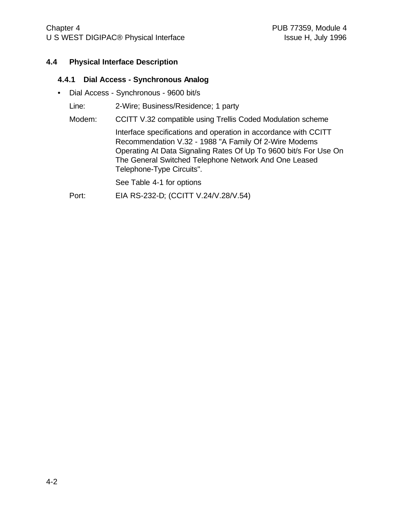#### **4.4 Physical Interface Description**

#### **4.4.1 Dial Access - Synchronous Analog**

• Dial Access - Synchronous - 9600 bit/s

Line: 2-Wire; Business/Residence; 1 party

Modem: CCITT V.32 compatible using Trellis Coded Modulation scheme

Interface specifications and operation in accordance with CCITT Recommendation V.32 - 1988 "A Family Of 2-Wire Modems Operating At Data Signaling Rates Of Up To 9600 bit/s For Use On The General Switched Telephone Network And One Leased Telephone-Type Circuits".

See Table 4-1 for options

Port: EIA RS-232-D; (CCITT V.24/V.28/V.54)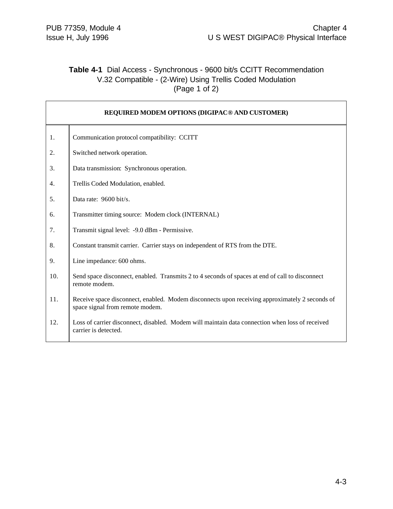#### **Table 4-1** Dial Access - Synchronous - 9600 bit/s CCITT Recommendation V.32 Compatible - (2-Wire) Using Trellis Coded Modulation (Page 1 of 2)

|     | REQUIRED MODEM OPTIONS (DIGIPAC <sup>®</sup> AND CUSTOMER)                                                                        |
|-----|-----------------------------------------------------------------------------------------------------------------------------------|
| 1.  | Communication protocol compatibility: CCITT                                                                                       |
| 2.  | Switched network operation.                                                                                                       |
| 3.  | Data transmission: Synchronous operation.                                                                                         |
| 4.  | Trellis Coded Modulation, enabled.                                                                                                |
| 5.  | Data rate: 9600 bit/s.                                                                                                            |
| 6.  | Transmitter timing source: Modem clock (INTERNAL)                                                                                 |
| 7.  | Transmit signal level: -9.0 dBm - Permissive.                                                                                     |
| 8.  | Constant transmit carrier. Carrier stays on independent of RTS from the DTE.                                                      |
| 9.  | Line impedance: 600 ohms.                                                                                                         |
| 10. | Send space disconnect, enabled. Transmits 2 to 4 seconds of spaces at end of call to disconnect<br>remote modem.                  |
| 11. | Receive space disconnect, enabled. Modem disconnects upon receiving approximately 2 seconds of<br>space signal from remote modem. |
| 12. | Loss of carrier disconnect, disabled. Modem will maintain data connection when loss of received<br>carrier is detected.           |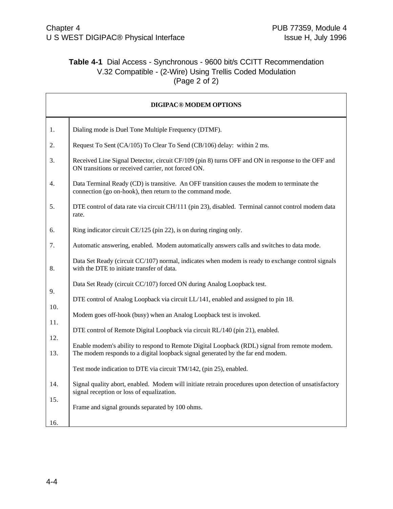r

#### **Table 4-1** Dial Access - Synchronous - 9600 bit/s CCITT Recommendation V.32 Compatible - (2-Wire) Using Trellis Coded Modulation (Page 2 of 2)

|            | <b>DIGIPAC® MODEM OPTIONS</b>                                                                                                                                                   |
|------------|---------------------------------------------------------------------------------------------------------------------------------------------------------------------------------|
| 1.         | Dialing mode is Duel Tone Multiple Frequency (DTMF).                                                                                                                            |
| 2.         | Request To Sent (CA/105) To Clear To Send (CB/106) delay: within 2 ms.                                                                                                          |
| 3.         | Received Line Signal Detector, circuit CF/109 (pin 8) turns OFF and ON in response to the OFF and<br>ON transitions or received carrier, not forced ON.                         |
| 4.         | Data Terminal Ready (CD) is transitive. An OFF transition causes the modem to terminate the<br>connection (go on-hook), then return to the command mode.                        |
| 5.         | DTE control of data rate via circuit CH/111 (pin 23), disabled. Terminal cannot control modem data<br>rate.                                                                     |
| 6.         | Ring indicator circuit CE/125 (pin 22), is on during ringing only.                                                                                                              |
| 7.         | Automatic answering, enabled. Modem automatically answers calls and switches to data mode.                                                                                      |
| 8.         | Data Set Ready (circuit CC/107) normal, indicates when modem is ready to exchange control signals<br>with the DTE to initiate transfer of data.                                 |
|            | Data Set Ready (circuit CC/107) forced ON during Analog Loopback test.                                                                                                          |
| 9.         | DTE control of Analog Loopback via circuit LL/141, enabled and assigned to pin 18.                                                                                              |
| 10.        | Modem goes off-hook (busy) when an Analog Loopback test is invoked.                                                                                                             |
| 11.        | DTE control of Remote Digital Loopback via circuit RL/140 (pin 21), enabled.                                                                                                    |
| 12.<br>13. | Enable modem's ability to respond to Remote Digital Loopback (RDL) signal from remote modem.<br>The modem responds to a digital loopback signal generated by the far end modem. |
|            | Test mode indication to DTE via circuit TM/142, (pin 25), enabled.                                                                                                              |
| 14.        | Signal quality abort, enabled. Modem will initiate retrain procedures upon detection of unsatisfactory<br>signal reception or loss of equalization.                             |
| 15.        | Frame and signal grounds separated by 100 ohms.                                                                                                                                 |
| 16.        |                                                                                                                                                                                 |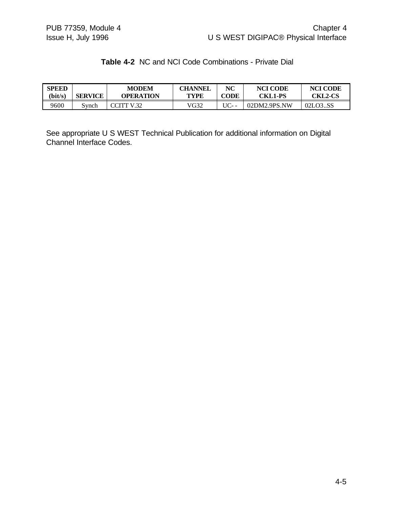#### **Table 4-2** NC and NCI Code Combinations - Private Dial

| <b>SPEED</b> | <b>SERVICE</b> | MODEM      | <b>CHANNEL</b> | NC    | <b>NCI CODE</b> | <b>NCI CODE</b> |
|--------------|----------------|------------|----------------|-------|-----------------|-----------------|
| (bit/s)      |                | OPERATION  | <b>TYPE</b>    | CODE  | <b>CKL1-PS</b>  | <b>CKL2-CS</b>  |
| 9600         | Synch          | CCITT V.32 | VG32           | UC- - | 02DM2.9PS.NW    | 02LO3SS         |

See appropriate U S WEST Technical Publication for additional information on Digital Channel Interface Codes.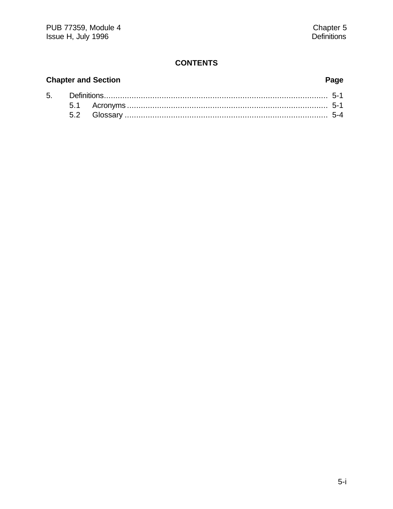#### **CONTENTS**

## **Chapter and Section**

5.

## Page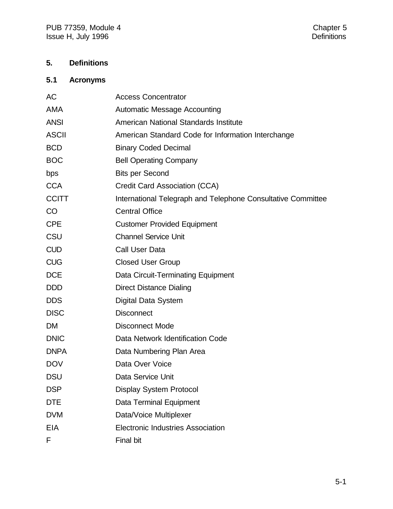#### **5. Definitions**

#### **5.1 Acronyms**

| AC           | <b>Access Concentrator</b>                                   |
|--------------|--------------------------------------------------------------|
| <b>AMA</b>   | <b>Automatic Message Accounting</b>                          |
| <b>ANSI</b>  | American National Standards Institute                        |
| <b>ASCII</b> | American Standard Code for Information Interchange           |
| <b>BCD</b>   | <b>Binary Coded Decimal</b>                                  |
| <b>BOC</b>   | <b>Bell Operating Company</b>                                |
| bps          | <b>Bits per Second</b>                                       |
| <b>CCA</b>   | Credit Card Association (CCA)                                |
| <b>CCITT</b> | International Telegraph and Telephone Consultative Committee |
| CO           | <b>Central Office</b>                                        |
| <b>CPE</b>   | <b>Customer Provided Equipment</b>                           |
| CSU          | <b>Channel Service Unit</b>                                  |
| <b>CUD</b>   | <b>Call User Data</b>                                        |
| <b>CUG</b>   | <b>Closed User Group</b>                                     |
| <b>DCE</b>   | Data Circuit-Terminating Equipment                           |
| <b>DDD</b>   | <b>Direct Distance Dialing</b>                               |
| <b>DDS</b>   | Digital Data System                                          |
| <b>DISC</b>  | <b>Disconnect</b>                                            |
| <b>DM</b>    | <b>Disconnect Mode</b>                                       |
| <b>DNIC</b>  | Data Network Identification Code                             |
| <b>DNPA</b>  | Data Numbering Plan Area                                     |
| <b>DOV</b>   | Data Over Voice                                              |
| <b>DSU</b>   | Data Service Unit                                            |
| <b>DSP</b>   | <b>Display System Protocol</b>                               |
| <b>DTE</b>   | Data Terminal Equipment                                      |
| <b>DVM</b>   | Data/Voice Multiplexer                                       |
| <b>EIA</b>   | <b>Electronic Industries Association</b>                     |
| F            | Final bit                                                    |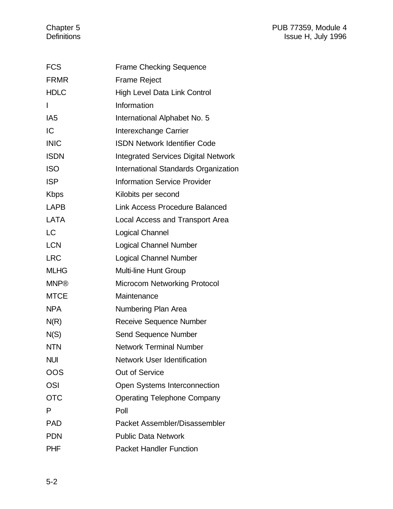#### Chapter 5 **PUB 77359, Module 4** Definitions Issue H, July 1996

| <b>FCS</b>      | <b>Frame Checking Sequence</b>             |
|-----------------|--------------------------------------------|
| <b>FRMR</b>     | <b>Frame Reject</b>                        |
| <b>HDLC</b>     | <b>High Level Data Link Control</b>        |
| I               | Information                                |
| IA <sub>5</sub> | International Alphabet No. 5               |
| IC              | Interexchange Carrier                      |
| <b>INIC</b>     | <b>ISDN Network Identifier Code</b>        |
| <b>ISDN</b>     | <b>Integrated Services Digital Network</b> |
| <b>ISO</b>      | International Standards Organization       |
| <b>ISP</b>      | <b>Information Service Provider</b>        |
| <b>Kbps</b>     | Kilobits per second                        |
| <b>LAPB</b>     | <b>Link Access Procedure Balanced</b>      |
| LATA            | Local Access and Transport Area            |
| <b>LC</b>       | Logical Channel                            |
| <b>LCN</b>      | <b>Logical Channel Number</b>              |
| <b>LRC</b>      | <b>Logical Channel Number</b>              |
| <b>MLHG</b>     | <b>Multi-line Hunt Group</b>               |
| <b>MNP®</b>     | <b>Microcom Networking Protocol</b>        |
| <b>MTCE</b>     | Maintenance                                |
| <b>NPA</b>      | Numbering Plan Area                        |
| N(R)            | <b>Receive Sequence Number</b>             |
| N(S)            | Send Sequence Number                       |
| <b>NTN</b>      | <b>Network Terminal Number</b>             |
| <b>NUI</b>      | <b>Network User Identification</b>         |
| OOS             | <b>Out of Service</b>                      |
| <b>OSI</b>      | Open Systems Interconnection               |
| <b>OTC</b>      | <b>Operating Telephone Company</b>         |
| P               | Poll                                       |
| <b>PAD</b>      | Packet Assembler/Disassembler              |
| <b>PDN</b>      | <b>Public Data Network</b>                 |
| <b>PHF</b>      | <b>Packet Handler Function</b>             |
|                 |                                            |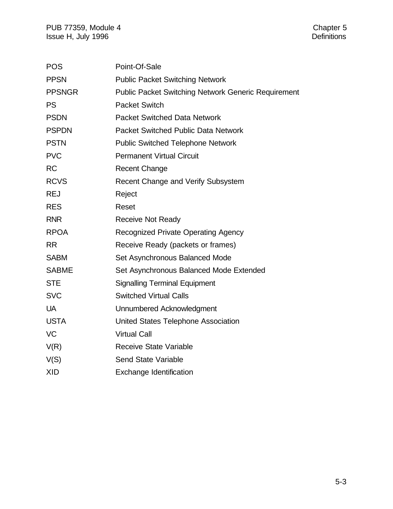| <b>POS</b>    | Point-Of-Sale                                              |
|---------------|------------------------------------------------------------|
| <b>PPSN</b>   | <b>Public Packet Switching Network</b>                     |
| <b>PPSNGR</b> | <b>Public Packet Switching Network Generic Requirement</b> |
| <b>PS</b>     | <b>Packet Switch</b>                                       |
| <b>PSDN</b>   | <b>Packet Switched Data Network</b>                        |
| <b>PSPDN</b>  | <b>Packet Switched Public Data Network</b>                 |
| <b>PSTN</b>   | <b>Public Switched Telephone Network</b>                   |
| <b>PVC</b>    | <b>Permanent Virtual Circuit</b>                           |
| <b>RC</b>     | <b>Recent Change</b>                                       |
| <b>RCVS</b>   | Recent Change and Verify Subsystem                         |
| <b>REJ</b>    | Reject                                                     |
| <b>RES</b>    | Reset                                                      |
| <b>RNR</b>    | <b>Receive Not Ready</b>                                   |
| <b>RPOA</b>   | <b>Recognized Private Operating Agency</b>                 |
| <b>RR</b>     | Receive Ready (packets or frames)                          |
| <b>SABM</b>   | Set Asynchronous Balanced Mode                             |
| <b>SABME</b>  | Set Asynchronous Balanced Mode Extended                    |
| <b>STE</b>    | <b>Signalling Terminal Equipment</b>                       |
| <b>SVC</b>    | <b>Switched Virtual Calls</b>                              |
| <b>UA</b>     | Unnumbered Acknowledgment                                  |
| <b>USTA</b>   | United States Telephone Association                        |
| VC            | <b>Virtual Call</b>                                        |
| V(R)          | <b>Receive State Variable</b>                              |
| V(S)          | <b>Send State Variable</b>                                 |
| <b>XID</b>    | <b>Exchange Identification</b>                             |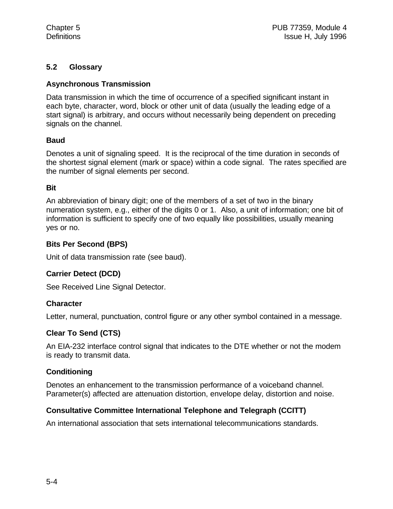#### **5.2 Glossary**

#### **Asynchronous Transmission**

Data transmission in which the time of occurrence of a specified significant instant in each byte, character, word, block or other unit of data (usually the leading edge of a start signal) is arbitrary, and occurs without necessarily being dependent on preceding signals on the channel.

#### **Baud**

Denotes a unit of signaling speed. It is the reciprocal of the time duration in seconds of the shortest signal element (mark or space) within a code signal. The rates specified are the number of signal elements per second.

#### **Bit**

An abbreviation of binary digit; one of the members of a set of two in the binary numeration system, e.g., either of the digits 0 or 1. Also, a unit of information; one bit of information is sufficient to specify one of two equally like possibilities, usually meaning yes or no.

#### **Bits Per Second (BPS)**

Unit of data transmission rate (see baud).

#### **Carrier Detect (DCD)**

See Received Line Signal Detector.

#### **Character**

Letter, numeral, punctuation, control figure or any other symbol contained in a message.

#### **Clear To Send (CTS)**

An EIA-232 interface control signal that indicates to the DTE whether or not the modem is ready to transmit data.

#### **Conditioning**

Denotes an enhancement to the transmission performance of a voiceband channel. Parameter(s) affected are attenuation distortion, envelope delay, distortion and noise.

#### **Consultative Committee International Telephone and Telegraph (CCITT)**

An international association that sets international telecommunications standards.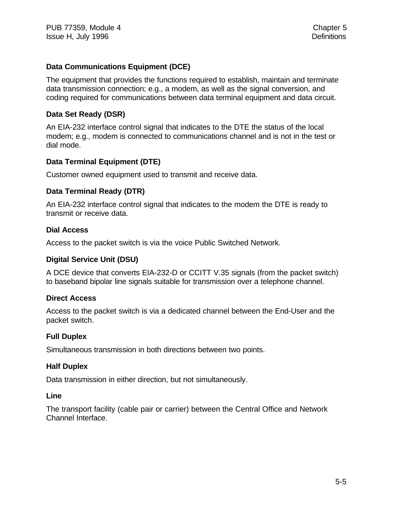#### **Data Communications Equipment (DCE)**

The equipment that provides the functions required to establish, maintain and terminate data transmission connection; e.g., a modem, as well as the signal conversion, and coding required for communications between data terminal equipment and data circuit.

#### **Data Set Ready (DSR)**

An EIA-232 interface control signal that indicates to the DTE the status of the local modem; e.g., modem is connected to communications channel and is not in the test or dial mode.

#### **Data Terminal Equipment (DTE)**

Customer owned equipment used to transmit and receive data.

#### **Data Terminal Ready (DTR)**

An EIA-232 interface control signal that indicates to the modem the DTE is ready to transmit or receive data.

#### **Dial Access**

Access to the packet switch is via the voice Public Switched Network.

#### **Digital Service Unit (DSU)**

A DCE device that converts EIA-232-D or CCITT V.35 signals (from the packet switch) to baseband bipolar line signals suitable for transmission over a telephone channel.

#### **Direct Access**

Access to the packet switch is via a dedicated channel between the End-User and the packet switch.

#### **Full Duplex**

Simultaneous transmission in both directions between two points.

#### **Half Duplex**

Data transmission in either direction, but not simultaneously.

#### **Line**

The transport facility (cable pair or carrier) between the Central Office and Network Channel Interface.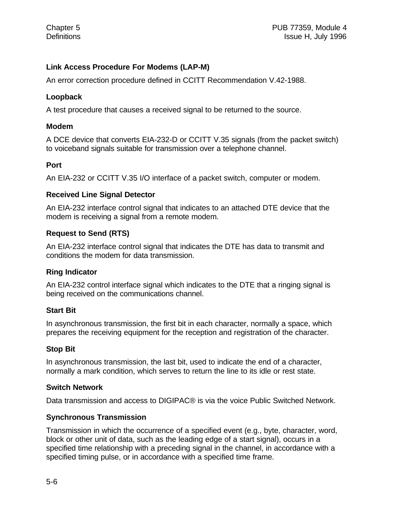#### **Link Access Procedure For Modems (LAP-M)**

An error correction procedure defined in CCITT Recommendation V.42-1988.

#### **Loopback**

A test procedure that causes a received signal to be returned to the source.

#### **Modem**

A DCE device that converts EIA-232-D or CCITT V.35 signals (from the packet switch) to voiceband signals suitable for transmission over a telephone channel.

#### **Port**

An EIA-232 or CCITT V.35 I/O interface of a packet switch, computer or modem.

#### **Received Line Signal Detector**

An EIA-232 interface control signal that indicates to an attached DTE device that the modem is receiving a signal from a remote modem.

#### **Request to Send (RTS)**

An EIA-232 interface control signal that indicates the DTE has data to transmit and conditions the modem for data transmission.

#### **Ring Indicator**

An EIA-232 control interface signal which indicates to the DTE that a ringing signal is being received on the communications channel.

#### **Start Bit**

In asynchronous transmission, the first bit in each character, normally a space, which prepares the receiving equipment for the reception and registration of the character.

#### **Stop Bit**

In asynchronous transmission, the last bit, used to indicate the end of a character, normally a mark condition, which serves to return the line to its idle or rest state.

#### **Switch Network**

Data transmission and access to DIGIPAC® is via the voice Public Switched Network.

#### **Synchronous Transmission**

Transmission in which the occurrence of a specified event (e.g., byte, character, word, block or other unit of data, such as the leading edge of a start signal), occurs in a specified time relationship with a preceding signal in the channel, in accordance with a specified timing pulse, or in accordance with a specified time frame.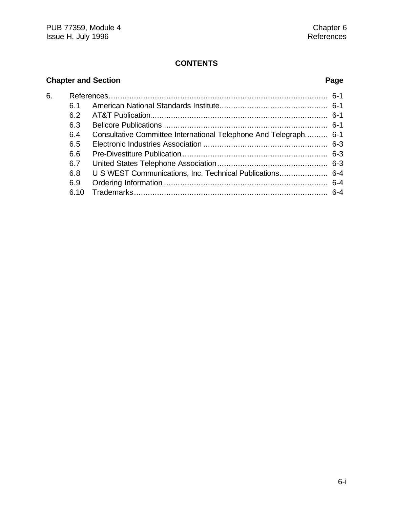#### **CONTENTS**

## **Chapter and Section Page**

| 6. |      |                                                                  |  |  |
|----|------|------------------------------------------------------------------|--|--|
|    | 6.1  |                                                                  |  |  |
|    | 6.2  |                                                                  |  |  |
|    | 6.3  |                                                                  |  |  |
|    | 6.4  | Consultative Committee International Telephone And Telegraph 6-1 |  |  |
|    | 6.5  |                                                                  |  |  |
|    | 6.6  |                                                                  |  |  |
|    | 6.7  |                                                                  |  |  |
|    | 6.8  | U S WEST Communications, Inc. Technical Publications 6-4         |  |  |
|    | 6.9  |                                                                  |  |  |
|    | 6.10 |                                                                  |  |  |
|    |      |                                                                  |  |  |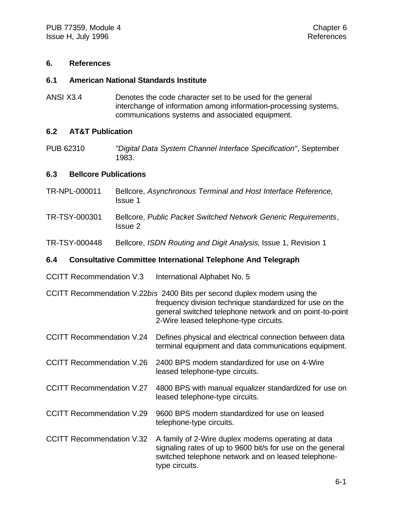#### **6. References**

#### **6.1 American National Standards Institute**

ANSI X3.4 Denotes the code character set to be used for the general interchange of information among information-processing systems, communications systems and associated equipment.

#### **6.2 AT&T Publication**

PUB 62310 *"Digital Data System Channel Interface Specification"*, September 1983.

#### **6.3 Bellcore Publications**

- TR-NPL-000011 Bellcore, *Asynchronous Terminal and Host Interface Reference,* Issue 1
- TR-TSY-000301 Bellcore, *Public Packet Switched Network Generic Requirements*, Issue 2
- TR-TSY-000448 Bellcore, *ISDN Routing and Digit Analysis*, Issue 1, Revision 1

#### **6.4 Consultative Committee International Telephone And Telegraph**

- CCITT Recommendation V.3 International Alphabet No. 5
- CCITT Recommendation V.22*bis* 2400 Bits per second duplex modem using the frequency division technique standardized for use on the general switched telephone network and on point-to-point 2-Wire leased telephone-type circuits.
- CCITT Recommendation V.24 Defines physical and electrical connection between data terminal equipment and data communications equipment.
- CCITT Recommendation V.26 2400 BPS modem standardized for use on 4-Wire leased telephone-type circuits.
- CCITT Recommendation V.27 4800 BPS with manual equalizer standardized for use on leased telephone-type circuits.
- CCITT Recommendation V.29 9600 BPS modem standardized for use on leased telephone-type circuits.
- CCITT Recommendation V.32 A family of 2-Wire duplex modems operating at data signaling rates of up to 9600 bit/s for use on the general switched telephone network and on leased telephonetype circuits.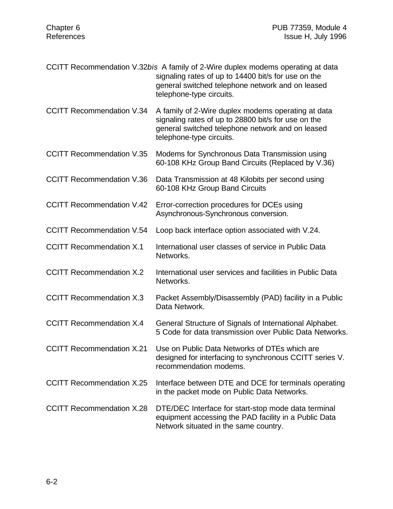|                                  | CCITT Recommendation V.32bis A family of 2-Wire duplex modems operating at data<br>signaling rates of up to 14400 bit/s for use on the<br>general switched telephone network and on leased<br>telephone-type circuits. |
|----------------------------------|------------------------------------------------------------------------------------------------------------------------------------------------------------------------------------------------------------------------|
| <b>CCITT Recommendation V.34</b> | A family of 2-Wire duplex modems operating at data<br>signaling rates of up to 28800 bit/s for use on the<br>general switched telephone network and on leased<br>telephone-type circuits.                              |
| <b>CCITT Recommendation V.35</b> | Modems for Synchronous Data Transmission using<br>60-108 KHz Group Band Circuits (Replaced by V.36)                                                                                                                    |
| <b>CCITT Recommendation V.36</b> | Data Transmission at 48 Kilobits per second using<br>60-108 KHz Group Band Circuits                                                                                                                                    |
| <b>CCITT Recommendation V.42</b> | Error-correction procedures for DCEs using<br>Asynchronous-Synchronous conversion.                                                                                                                                     |
| <b>CCITT Recommendation V.54</b> | Loop back interface option associated with V.24.                                                                                                                                                                       |
| <b>CCITT Recommendation X.1</b>  | International user classes of service in Public Data<br>Networks.                                                                                                                                                      |
| <b>CCITT Recommendation X.2</b>  | International user services and facilities in Public Data<br>Networks.                                                                                                                                                 |
| <b>CCITT Recommendation X.3</b>  | Packet Assembly/Disassembly (PAD) facility in a Public<br>Data Network.                                                                                                                                                |
| <b>CCITT Recommendation X.4</b>  | General Structure of Signals of International Alphabet.<br>5 Code for data transmission over Public Data Networks.                                                                                                     |
|                                  | CCITT Recommendation X.21 Use on Public Data Networks of DTEs which are<br>designed for interfacing to synchronous CCITT series V.<br>recommendation modems.                                                           |
| <b>CCITT Recommendation X.25</b> | Interface between DTE and DCE for terminals operating<br>in the packet mode on Public Data Networks.                                                                                                                   |
| <b>CCITT Recommendation X.28</b> | DTE/DEC Interface for start-stop mode data terminal<br>equipment accessing the PAD facility in a Public Data<br>Network situated in the same country.                                                                  |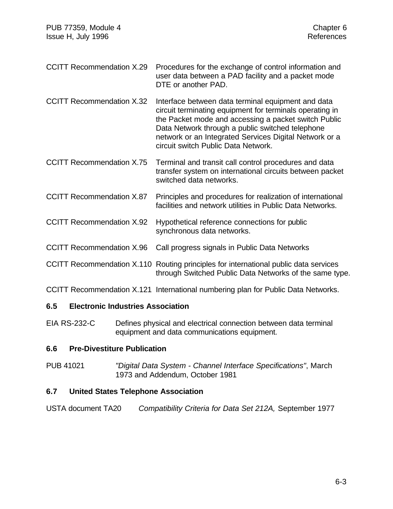- CCITT Recommendation X.29 Procedures for the exchange of control information and user data between a PAD facility and a packet mode DTE or another PAD.
- CCITT Recommendation X.32 Interface between data terminal equipment and data circuit terminating equipment for terminals operating in the Packet mode and accessing a packet switch Public Data Network through a public switched telephone network or an Integrated Services Digital Network or a circuit switch Public Data Network.
- CCITT Recommendation X.75 Terminal and transit call control procedures and data transfer system on international circuits between packet switched data networks.
- CCITT Recommendation X.87 Principles and procedures for realization of international facilities and network utilities in Public Data Networks.
- CCITT Recommendation X.92 Hypothetical reference connections for public synchronous data networks.
- CCITT Recommendation X.96 Call progress signals in Public Data Networks
- CCITT Recommendation X.110 Routing principles for international public data services through Switched Public Data Networks of the same type.
- CCITT Recommendation X.121 International numbering plan for Public Data Networks.

#### **6.5 Electronic Industries Association**

EIA RS-232-C Defines physical and electrical connection between data terminal equipment and data communications equipment.

#### **6.6 Pre-Divestiture Publication**

PUB 41021 *"Digital Data System - Channel Interface Specifications"*, March 1973 and Addendum, October 1981

#### **6.7 United States Telephone Association**

USTA document TA20 *Compatibility Criteria for Data Set 212A,* September 1977